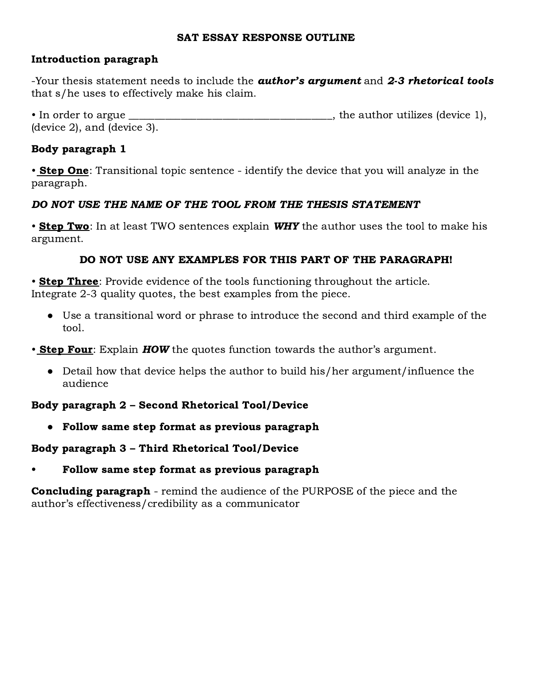#### SAT ESSAY RESPONSE OUTLINE

## Introduction paragraph

-Your thesis statement needs to include the **author's argument** and 2-3 rhetorical tools that s/he uses to effectively make his claim.

• In order to argue \_\_\_\_\_\_\_\_\_\_\_\_\_\_\_\_\_\_\_\_\_\_\_\_\_\_\_\_\_\_\_\_\_\_\_\_\_\_\_, the author utilizes (device 1), (device 2), and (device 3).

## Body paragraph 1

• Step One: Transitional topic sentence - identify the device that you will analyze in the paragraph.

## DO NOT USE THE NAME OF THE TOOL FROM THE THESIS STATEMENT

• **Step Two**: In at least TWO sentences explain **WHY** the author uses the tool to make his argument.

## DO NOT USE ANY EXAMPLES FOR THIS PART OF THE PARAGRAPH!

• **Step Three**: Provide evidence of the tools functioning throughout the article. Integrate 2-3 quality quotes, the best examples from the piece.

● Use a transitional word or phrase to introduce the second and third example of the tool.

• **Step Four**: Explain **HOW** the quotes function towards the author's argument.

● Detail how that device helps the author to build his/her argument/influence the audience

## Body paragraph 2 – Second Rhetorical Tool/Device

● Follow same step format as previous paragraph

## Body paragraph 3 – Third Rhetorical Tool/Device

• Follow same step format as previous paragraph

**Concluding paragraph** - remind the audience of the PURPOSE of the piece and the author's effectiveness/credibility as a communicator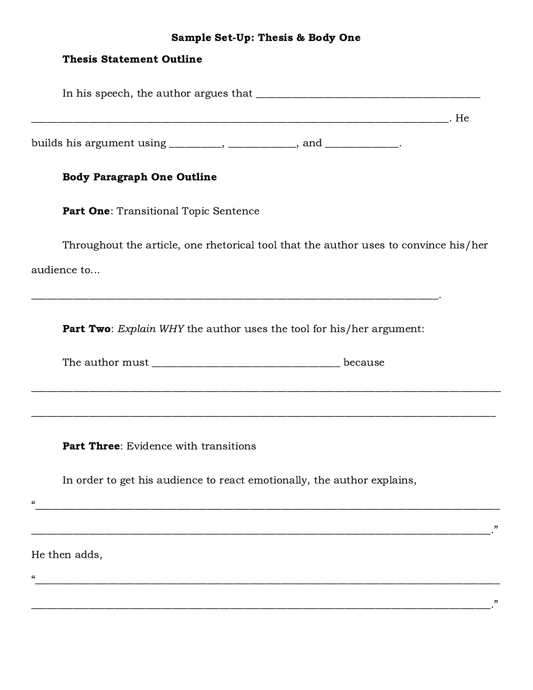# Sample Set-Up: Thesis & Body One

| <b>Thesis Statement Outline</b>                                                       |  |
|---------------------------------------------------------------------------------------|--|
|                                                                                       |  |
|                                                                                       |  |
| builds his argument using _________, ____________, and ___________.                   |  |
| <b>Body Paragraph One Outline</b>                                                     |  |
| Part One: Transitional Topic Sentence                                                 |  |
| Throughout the article, one rhetorical tool that the author uses to convince his/her  |  |
| audience to                                                                           |  |
| <b>Part Two:</b> Explain WHY the author uses the tool for his/her argument:           |  |
| <b>Part Three:</b> Evidence with transitions                                          |  |
| In order to get his audience to react emotionally, the author explains,<br>$\epsilon$ |  |
|                                                                                       |  |
| He then adds,                                                                         |  |
| $\epsilon$                                                                            |  |